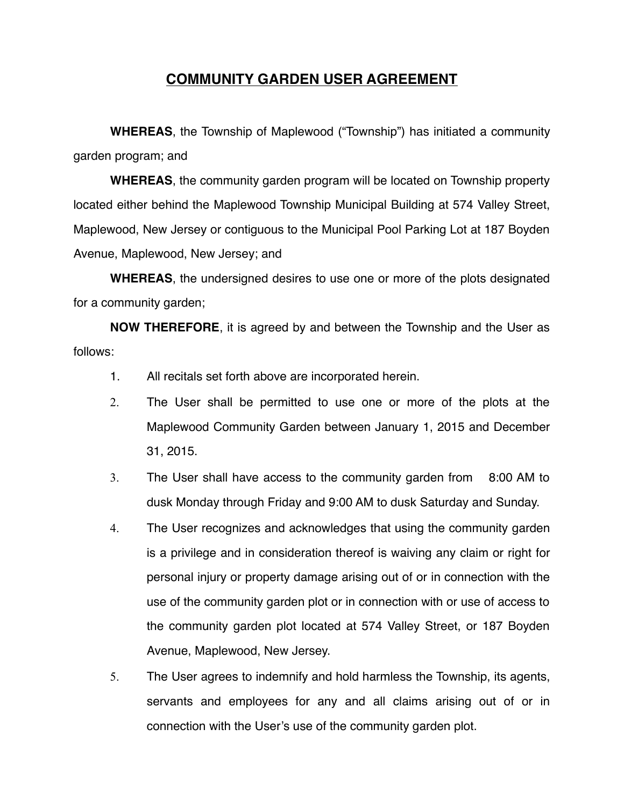## **COMMUNITY GARDEN USER AGREEMENT**

**WHEREAS**, the Township of Maplewood ("Township") has initiated a community garden program; and

**WHEREAS**, the community garden program will be located on Township property located either behind the Maplewood Township Municipal Building at 574 Valley Street, Maplewood, New Jersey or contiguous to the Municipal Pool Parking Lot at 187 Boyden Avenue, Maplewood, New Jersey; and

**WHEREAS**, the undersigned desires to use one or more of the plots designated for a community garden;

**NOW THEREFORE**, it is agreed by and between the Township and the User as follows:

- 1. All recitals set forth above are incorporated herein.
- 2. The User shall be permitted to use one or more of the plots at the Maplewood Community Garden between January 1, 2015 and December 31, 2015.
- 3. The User shall have access to the community garden from 8:00 AM to dusk Monday through Friday and 9:00 AM to dusk Saturday and Sunday.
- 4. The User recognizes and acknowledges that using the community garden is a privilege and in consideration thereof is waiving any claim or right for personal injury or property damage arising out of or in connection with the use of the community garden plot or in connection with or use of access to the community garden plot located at 574 Valley Street, or 187 Boyden Avenue, Maplewood, New Jersey.
- 5. The User agrees to indemnify and hold harmless the Township, its agents, servants and employees for any and all claims arising out of or in connection with the User's use of the community garden plot.